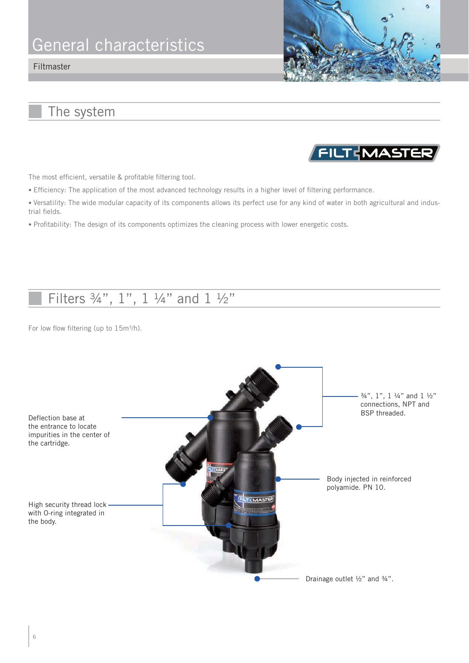## General characteristics

#### Filtmaster



FILTEMASTER

### The system

The most efficient, versatile & profitable filtering tool.

- Efficiency: The application of the most advanced technology results in a higher level of filtering performance.
- Versatility: The wide modular capacity of its components allows its perfect use for any kind of water in both agricultural and industrial fields.
- Profitability: The design of its components optimizes the cleaning process with lower energetic costs.

## Filters 3/4", 1", 1 1/4" and 1 1/2"

For low flow filtering (up to 15m<sup>3</sup>/h).